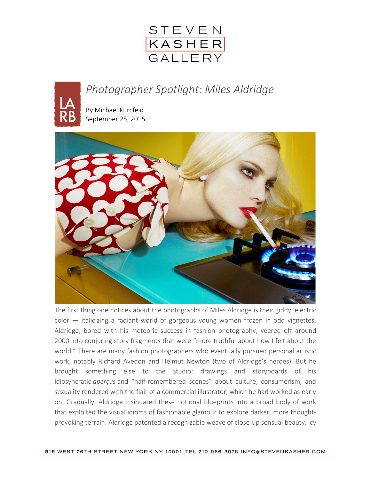

## *Photographer Spotlight: Miles Aldridge*

By [Michael Kurcfeld](https://lareviewofbooks.org/contributor/michael-kurcfeld) September 25, 2015



The first thing one notices about the photographs of Miles Aldridge is their giddy, electric color — italicizing a radiant world of gorgeous young women frozen in odd vignettes. Aldridge, bored with his meteoric success in fashion photography, veered off around 2000 into conjuring story fragments that were "more truthful about how I felt about the world." There are many fashion photographers who eventually pursued personal artistic work, notably Richard Avedon and Helmut Newton (two of Aldridge's heroes). But he brought something else to the studio: drawings and storyboards of his idiosyncratic *aperçus* and "half-remembered scenes" about culture, consumerism, and sexuality rendered with the flair of a commercial illustrator, which he had worked as early on. Gradually, Aldridge insinuated these notional blueprints into a broad body of work that exploited the visual idioms of fashionable glamour to explore darker, more thoughtprovoking terrain. Aldridge patented a recognizable weave of close-up sensual beauty, icy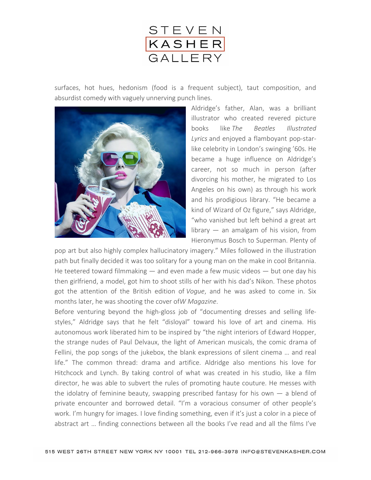

surfaces, hot hues, hedonism (food is a frequent subject), taut composition, and absurdist comedy with vaguely unnerving punch lines.



Aldridge's father, Alan, was a brilliant illustrator who created revered picture books like *The Beatles Illustrated Lyrics* and enjoyed a flamboyant pop-starlike celebrity in London's swinging '60s. He became a huge influence on Aldridge's career, not so much in person (after divorcing his mother, he migrated to Los Angeles on his own) as through his work and his prodigious library. "He became a kind of Wizard of Oz figure," says Aldridge, "who vanished but left behind a great art library — an amalgam of his vision, from Hieronymus Bosch to Superman. Plenty of

pop art but also highly complex hallucinatory imagery." Miles followed in the illustration path but finally decided it was too solitary for a young man on the make in cool Britannia. He teetered toward filmmaking  $-$  and even made a few music videos  $-$  but one day his then girlfriend, a model, got him to shoot stills of her with his dad's Nikon. These photos got the attention of the British edition of *Vogue*, and he was asked to come in. Six months later, he was shooting the cover of*W Magazine*.

Before venturing beyond the high-gloss job of "documenting dresses and selling lifestyles," Aldridge says that he felt "disloyal" toward his love of art and cinema. His autonomous work liberated him to be inspired by "the night interiors of Edward Hopper, the strange nudes of Paul Delvaux, the light of American musicals, the comic drama of Fellini, the pop songs of the jukebox, the blank expressions of silent cinema … and real life." The common thread: drama and artifice. Aldridge also mentions his love for Hitchcock and Lynch. By taking control of what was created in his studio, like a film director, he was able to subvert the rules of promoting haute couture. He messes with the idolatry of feminine beauty, swapping prescribed fantasy for his own  $-$  a blend of private encounter and borrowed detail. "I'm a voracious consumer of other people's work. I'm hungry for images. I love finding something, even if it's just a color in a piece of abstract art … finding connections between all the books I've read and all the films I've